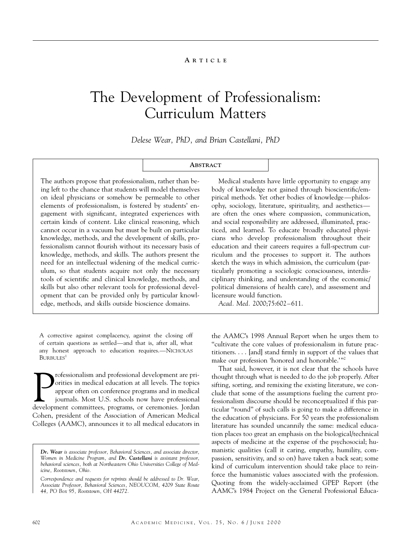## **A RTICLE**

# The Development of Professionalism: Curriculum Matters

*Delese Wear, PhD, and Brian Castellani, PhD*

#### **ABSTRACT**

The authors propose that professionalism, rather than being left to the chance that students will model themselves on ideal physicians or somehow be permeable to other elements of professionalism, is fostered by students' engagement with significant, integrated experiences with certain kinds of content. Like clinical reasoning, which cannot occur in a vacuum but must be built on particular knowledge, methods, and the development of skills, professionalism cannot flourish without its necessary basis of knowledge, methods, and skills. The authors present the need for an intellectual widening of the medical curriculum, so that students acquire not only the necessary tools of scientific and clinical knowledge, methods, and skills but also other relevant tools for professional development that can be provided only by particular knowledge, methods, and skills outside bioscience domains.

A corrective against complacency, against the closing off of certain questions as settled—and that is, after all, what any honest approach to education requires.—NICHOLAS  $BURBULES<sup>1</sup>$ 

**Professionalism and professional development are priorities in medical education at all levels. The topics appear often on conference programs and in medical journals. Most U.S. schools now have professional development c** rofessionalism and professional development are priorities in medical education at all levels. The topics appear often on conference programs and in medical journals. Most U.S. schools now have professional Cohen, president of the Association of American Medical Colleges (AAMC), announces it to all medical educators in

Medical students have little opportunity to engage any body of knowledge not gained through bioscientific/empirical methods. Yet other bodies of knowledge—philosophy, sociology, literature, spirituality, and aesthetics are often the ones where compassion, communication, and social responsibility are addressed, illuminated, practiced, and learned. To educate broadly educated physicians who develop professionalism throughout their education and their careers requires a full-spectrum curriculum and the processes to support it. The authors sketch the ways in which admission, the curriculum (particularly promoting a sociologic consciousness, interdisciplinary thinking, and understanding of the economic/ political dimensions of health care), and assessment and licensure would function.

*Acad. Med.* 2000;75:602–611.

the AAMC's 1998 Annual Report when he urges them to ''cultivate the core values of professionalism in future practitioners.... [and] stand firmly in support of the values that make our profession 'honored and honorable.'"<sup>2</sup>

That said, however, it is not clear that the schools have thought through what is needed to do the job properly. After sifting, sorting, and remixing the existing literature, we conclude that some of the assumptions fueling the current professionalism discourse should be reconceptualized if this particular ''round'' of such calls is going to make a difference in the education of physicians. For 50 years the professionalism literature has sounded uncannily the same: medical education places too great an emphasis on the biological/technical aspects of medicine at the expense of the psychosocial; humanistic qualities (call it caring, empathy, humility, compassion, sensitivity, and so on) have taken a back seat; some kind of curriculum intervention should take place to reinforce the humanistic values associated with the profession. Quoting from the widely-acclaimed GPEP Report (the AAMC's 1984 Project on the General Professional Educa-

*Dr. Wear is associate professor, Behavioral Sciences, and associate director, Women in Medicine Program, and Dr. Castellani is assistant professor, behavioral sciences, both at Northeastern Ohio Universities College of Medicine, Rootstown, Ohio.*

*Correspondence and requests for reprints should be addressed to Dr. Wear, Associate Professor, Behavioral Sciences, NEOUCOM, 4209 State Route 44, PO Box 95, Rootstown, OH 44272.*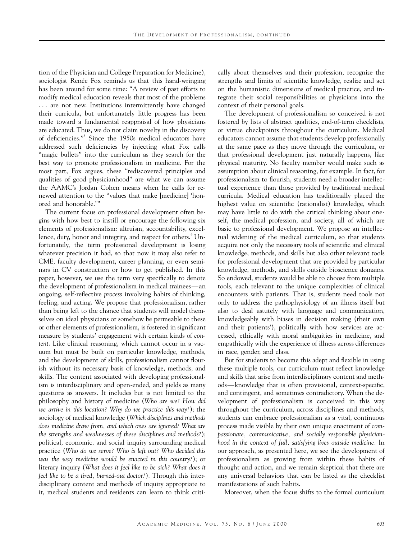tion of the Physician and College Preparation for Medicine), sociologist Renée Fox reminds us that this hand-wringing has been around for some time: ''A review of past efforts to modify medical education reveals that most of the problems ... are not new. Institutions intermittently have changed their curricula, but unfortunately little progress has been made toward a fundamental reappraisal of how physicians are educated. Thus, we do not claim novelty in the discovery of deficiencies.''3 Since the 1950s medical educators have addressed such deficiencies by injecting what Fox calls "magic bullets" into the curriculum as they search for the best way to promote professionalism in medicine. For the most part, Fox argues, these ''rediscovered principles and qualities of good physicianhood'' are what we can assume the AAMC's Jordan Cohen means when he calls for renewed attention to the ''values that make [medicine] 'honored and honorable.'''

The current focus on professional development often begins with how best to instill or encourage the following six elements of professionalism: altruism, accountability, excellence, duty, honor and integrity, and respect for others.<sup>4</sup> Unfortunately, the term professional development is losing whatever precision it had, so that now it may also refer to CME, faculty development, career planning, or even seminars in CV construction or how to get published. In this paper, however, we use the term very specifically to denote the development of professionalism in medical trainees—an ongoing, self-reflective *process* involving habits of thinking, feeling, and acting. We propose that professionalism, rather than being left to the chance that students will model themselves on ideal physicians or somehow be permeable to these or other elements of professionalism, is fostered in significant measure by students' engagement with certain kinds of *content*. Like clinical reasoning, which cannot occur in a vacuum but must be built on particular knowledge, methods, and the development of skills, professionalism cannot flourish without its necessary basis of knowledge, methods, and skills. The content associated with developing professionalism is interdisciplinary and open-ended, and yields as many questions as answers. It includes but is not limited to the philosophy and history of medicine (*Who are we? How did we arrive in this location? Why do we practice this way?*); the sociology of medical knowledge (*Which disciplines and methods does medicine draw from, and which ones are ignored? What are the strengths and weaknesses of these disciplines and methods?*); political, economic, and social inquiry surrounding medical practice (*Who do we serve? Who is left out? Who decided this was the way medicine would be enacted in this country?*); or literary inquiry (*What does it feel like to be sick? What does it feel like to be a tired, burned-out doctor?*). Through this interdisciplinary content and methods of inquiry appropriate to it, medical students and residents can learn to think critically about themselves and their profession, recognize the strengths and limits of scientific knowledge, realize and act on the humanistic dimensions of medical practice, and integrate their social responsibilities as physicians into the context of their personal goals.

The development of professionalism so conceived is not fostered by lists of abstract qualities, end-of-term checklists, or virtue checkpoints throughout the curriculum. Medical educators cannot assume that students develop professionally at the same pace as they move through the curriculum, or that professional development just naturally happens, like physical maturity. No faculty member would make such as assumption about clinical reasoning, for example. In fact, for professionalism to flourish, students need a broader intellectual experience than those provided by traditional medical curricula. Medical education has traditionally placed the highest value on scientific (rationalist) knowledge, which may have little to do with the critical thinking about oneself, the medical profession, and society, all of which are basic to professional development. We propose an intellectual widening of the medical curriculum, so that students acquire not only the necessary tools of scientific and clinical knowledge, methods, and skills but also other relevant tools for professional development that are provided by particular knowledge, methods, and skills outside bioscience domains. So endowed, students would be able to choose from multiple tools, each relevant to the unique complexities of clinical encounters with patients. That is, students need tools not only to address the pathophysiology of an illness itself but also to deal astutely with language and communication, knowledgeably with biases in decision making (their own and their patients'), politically with how services are accessed, ethically with moral ambiguities in medicine, and empathically with the experience of illness across differences in race, gender, and class.

But for students to become this adept and flexible in using these multiple tools, our curriculum must reflect knowledge and skills that arise from interdisciplinary content and methods—knowledge that is often provisional, context-specific, and contingent, and sometimes contradictory. When the development of professionalism is conceived in this way throughout the curriculum, across disciplines and methods, students can embrace professionalism as a vital, continuous process made visible by their own unique enactment of *compassionate, communicative, and socially responsible physicianhood in the context of full, satisfying lives outside medicine.* In our approach, as presented here, we see the development of professionalism as growing from within these habits of thought and action, and we remain skeptical that there are any universal behaviors that can be listed as the checklist manifestations of such habits.

Moreover, when the focus shifts to the formal curriculum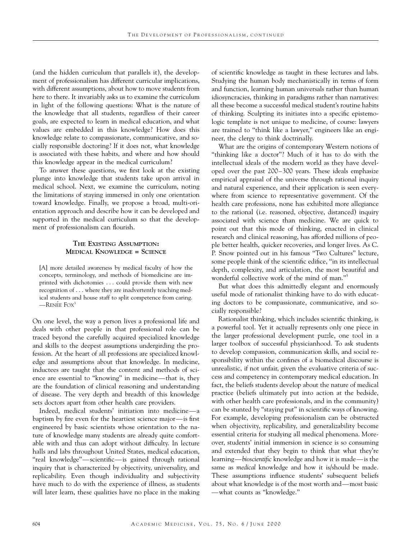(and the hidden curriculum that parallels it), the development of professionalism has different curricular implications, with different assumptions, about how to move students from here to there. It invariably asks us to examine the curriculum in light of the following questions: What is the nature of the knowledge that all students, regardless of their career goals, are expected to learn in medical education, and what values are embedded in this knowledge? How does this knowledge relate to compassionate, communicative, and socially responsible doctoring? If it does not, what knowledge is associated with these habits, and where and how should this knowledge appear in the medical curriculum?

To answer these questions, we first look at the existing plunge into knowledge that students take upon arrival in medical school. Next, we examine the curriculum, noting the limitations of staying immersed in only one orientation toward knowledge. Finally, we propose a broad, multi-orientation approach and describe how it can be developed and supported in the medical curriculum so that the development of professionalism can flourish.

## **THE EXISTING ASSUMPTION: MEDICAL KNOWLEDGE = SCIENCE**

[A] more detailed awareness by medical faculty of how the concepts, terminology, and methods of biomedicine are imprinted with dichotomies . . . could provide them with new recognition of . . . where they are inadvertently teaching medical students and house staff to split competence from caring.  $-$ RENÉE FOX $3$ 

On one level, the way a person lives a professional life and deals with other people in that professional role can be traced beyond the carefully acquired specialized knowledge and skills to the deepest assumptions undergirding the profession. At the heart of all professions are specialized knowledge and assumptions about that knowledge. In medicine, inductees are taught that the content and methods of science are essential to ''knowing'' in medicine—that is, they are the foundation of clinical reasoning and understanding of disease. The very depth and breadth of this knowledge sets doctors apart from other health care providers.

Indeed, medical students' initiation into medicine—a baptism by fire even for the heartiest science major—is first engineered by basic scientists whose orientation to the nature of knowledge many students are already quite comfortable with and thus can adopt without difficulty. In lecture halls and labs throughout United States, medical education, ''real knowledge''—scientific—is gained through rational inquiry that is characterized by objectivity, universality, and replicability. Even though individuality and subjectivity have much to do with the experience of illness, as students will later learn, these qualities have no place in the making of scientific knowledge as taught in these lectures and labs. Studying the human body mechanistically in terms of form and function, learning human universals rather than human idiosyncracies, thinking in paradigms rather than narratives: all these become a successful medical student's routine habits of thinking. Sculpting its initiates into a specific epistemologic template is not unique to medicine, of course: lawyers are trained to "think like a lawyer," engineers like an engineer, the clergy to think doctrinally.

What are the origins of contemporary Western notions of "thinking like a doctor"? Much of it has to do with the intellectual ideals of the modern world as they have developed over the past 200–300 years. These ideals emphasize empirical appraisal of the universe through rational inquiry and natural experience, and their application is seen everywhere from science to representative government. Of the health care professions, none has exhibited more allegiance to the rational (i.e. reasoned, objective, distanced) inquiry associated with science than medicine. We are quick to point out that this mode of thinking, enacted in clinical research and clinical reasoning, has afforded millions of people better health, quicker recoveries, and longer lives. As C. P. Snow pointed out in his famous ''Two Cultures'' lecture, some people think of the scientific edifice, ''in its intellectual depth, complexity, and articulation, the most beautiful and wonderful collective work of the mind of man."<sup>5</sup>

But what does this admittedly elegant and enormously useful mode of rationalist thinking have to do with educating doctors to be compassionate, communicative, and socially responsible?

Rationalist thinking, which includes scientific thinking, is a powerful tool. Yet it actually represents only one piece in the larger professional development puzzle, one tool in a larger toolbox of successful physicianhood. To ask students to develop compassion, communication skills, and social responsibility within the confines of a biomedical discourse is unrealistic, if not unfair, given the evaluative criteria of success and competency in contemporary medical education. In fact, the beliefs students develop about the nature of medical practice (beliefs ultimately put into action at the bedside, with other health care professionals, and in the community) can be stunted by ''staying put'' in scientific ways of knowing. For example, developing professionalism can be obstructed when objectivity, replicability, and generalizability become essential criteria for studying all medical phenomena. Moreover, students' initial immersion in science is so consuming and extended that they begin to think that what they're learning—*bioscientific* knowledge and how it is made—is the same as *medical* knowledge and how it is/should be made. These assumptions influence students' subsequent beliefs about what knowledge is of the most worth and—most basic —what counts as ''knowledge.''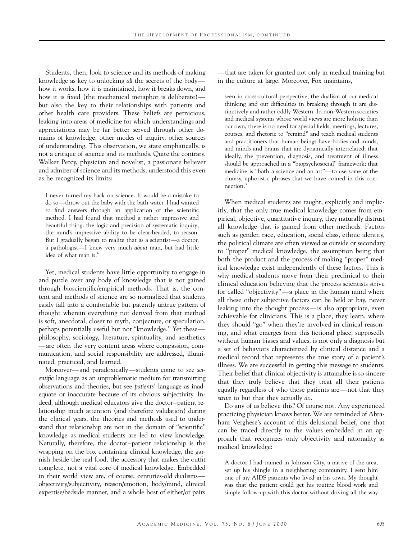Students, then, look to science and its methods of making knowledge as key to unlocking *all* the secrets of the body how it works, how it is maintained, how it breaks down, and how it is fixed (the mechanical metaphor is deliberate) but also the key to their relationships with patients and other health care providers. These beliefs are pernicious, leaking into areas of medicine for which understandings and appreciations may be far better served through other domains of knowledge, other modes of inquiry, other sources of understanding. This observation, we state emphatically, is not a critique of science and its methods. Quite the contrary. Walker Percy, physician and novelist, a passionate believer and admirer of science and its methods, understood this even as he recognized its limits:

I never turned my back on science. It would be a mistake to do so—throw out the baby with the bath water. I had wanted to find answers through an application of the scientific method. I had found that method a rather impressive and beautiful thing: the logic and precision of systematic inquiry; the mind's impressive ability to be clear-headed, to reason. But I gradually began to realize that as a scientist—a doctor, a pathologist—I knew very much *about* man, but had little idea of what man *is.*<sup>6</sup>

Yet, medical students have little opportunity to engage in and puzzle over any body of knowledge that is not gained through bioscientific/empirical methods. That is, the content and methods of science are so normalized that students easily fall into a comfortable but patently untrue pattern of thought wherein everything not derived from that method is soft, anecdotal, closer to myth, conjecture, or speculation, perhaps potentially useful but not ''knowledge.'' Yet these philosophy, sociology, literature, spirituality, and aesthetics —are often the very content areas where compassion, communication, and social responsibility are addressed, illuminated, practiced, and learned.

Moreover—and paradoxically—students come to see *scientific* language as an unproblematic medium for transmitting observations and theories, but see *patients'* language as inadequate or inaccurate because of its obvious subjectivity. Indeed, although medical educators give the doctor–patient relationship much attention (and therefore validation) during the clinical years, the theories and methods used to understand that relationship are not in the domain of ''scientific'' knowledge as medical students are led to view knowledge. Naturally, therefore, the doctor–patient relationship is the wrapping on the box containing clinical knowledge, the garnish beside the real food, the accessory that makes the outfit complete, not a vital core of medical knowledge. Embedded in their world view are, of course, centuries-old dualisms objectivity/subjectivity, reason/emotion, body/mind, clinical expertise/bedside manner, and a whole host of either/or pairs

—that are taken for granted not only in medical training but in the culture at large. Moreover, Fox maintains,

seen in cross-cultural perspective, the dualism of our medical thinking and our difficulties in breaking through it are distinctively and rather oddly Western. In non-Western societies and medical systems whose world views are more holistic than our own, there is no need for special fields, meetings, lectures, courses, and rhetoric to ''remind'' and teach medical students and practitioners that human beings have bodies and minds, and minds and brains that are dynamically interrelated; that ideally, the prevention, diagnosis, and treatment of illness should be approached in a ''biopsychosocial'' framework; that medicine is ''both a science and an art''—to use some of the clumsy, aphoristic phrases that we have coined in this connection.<sup>3</sup>

When medical students are taught, explicitly and implicitly, that the only true medical knowledge comes from empirical, objective, quantitative inquiry, they naturally distrust all knowledge that is gained from other methods. Factors such as gender, race, education, social class, ethnic identity, the political climate are often viewed as outside or secondary to ''proper'' medical knowledge, the assumption being that both the product and the process of making ''proper'' medical knowledge exist independently of these factors. This is why medical students move from their preclinical to their clinical education believing that the process scientists strive for called ''objectivity''—a place in the human mind where all these other subjective factors can be held at bay, never leaking into the thought process—is also appropriate, even achievable for clinicians. This is a place, they learn, where they should ''go'' when they're involved in clinical reasoning, and what emerges from this fictional place, supposedly without human biases and values, is not only a diagnosis but a set of behaviors characterized by clinical distance and a medical record that represents the true story of a patient's illness. We are successful in getting this message to students. Their belief that clinical objectivity is attainable is so sincere that they truly believe that they treat all their patients equally regardless of who those patients are—not that they *strive* to but that they actually *do*.

Do any of us believe this? Of course not. Any experienced practicing physician knows better. We are reminded of Abraham Verghese's account of this delusional belief, one that can be traced directly to the values embedded in an approach that recognizes only objectivity and rationality as medical knowledge:

A doctor I had trained in Johnson City, a native of the area, set up his shingle in a neighboring community. I sent him one of my AIDS patients who lived in his town. My thought was that the patient could get his routine blood work and simple follow-up with this doctor without driving all the way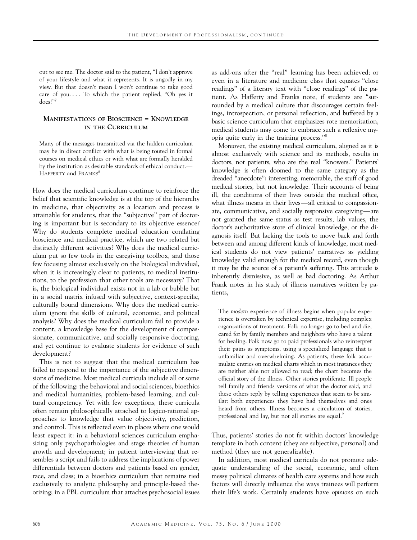out to see me. The doctor said to the patient, ''I don't approve of your lifestyle and what it represents. It is ungodly in my view. But that doesn't mean I won't continue to take good care of you.... To which the patient replied, "Oh yes it does!"7

## **MANIFESTATIONS OF BIOSCIENCE = KNOWLEDGE IN THE CURRICULUM**

Many of the messages transmitted via the hidden curriculum may be in direct conflict with what is being touted in formal courses on medical ethics or with what are formally heralded by the institution as desirable standards of ethical conduct.— HAFFERTY and  $FRANKS<sup>8</sup>$ 

How does the medical curriculum continue to reinforce the belief that scientific knowledge is at the top of the hierarchy in medicine, that objectivity as a location and process is attainable for students, that the ''subjective'' part of doctoring is important but is secondary to its objective essence? Why do students complete medical education conflating bioscience and medical practice, which are two related but distinctly different activities? Why does the medical curriculum put so few tools in the caregiving toolbox, and those few focusing almost exclusively on the biological individual, when it is increasingly clear to patients, to medical institutions, to the profession that other tools are necessary? That is, the biological individual exists not in a lab or bubble but in a social matrix infused with subjective, context-specific, culturally bound dimensions. Why does the medical curriculum ignore the skills of cultural, economic, and political analysis? Why does the medical curriculum fail to provide a content, a knowledge base for the development of compassionate, communicative, and socially responsive doctoring, and yet continue to evaluate students for evidence of such development?

This is not to suggest that the medical curriculum has failed to respond to the importance of the subjective dimensions of medicine. Most medical curricula include all or some of the following: the behavioral and social sciences, bioethics and medical humanities, problem-based learning, and cultural competency. Yet with few exceptions, these curricula often remain philosophically attached to logico-rational approaches to knowledge that value objectivity, prediction, and control. This is reflected even in places where one would least expect it: in a behavioral sciences curriculum emphasizing only psychopathologies and stage theories of human growth and development; in patient interviewing that resembles a script and fails to address the implications of power differentials between doctors and patients based on gender, race, and class; in a bioethics curriculum that remains tied exclusively to analytic philosophy and principle-based theorizing; in a PBL curriculum that attaches psychosocial issues as add-ons after the ''real'' learning has been achieved; or even in a literature and medicine class that equates ''close readings'' of a literary text with ''close readings'' of the patient. As Hafferty and Franks note, if students are ''surrounded by a medical culture that discourages certain feelings, introspection, or personal reflection, and buffeted by a basic science curriculum that emphasizes rote memorization, medical students may come to embrace such a reflexive myopia quite early in the training process.''<sup>8</sup>

Moreover, the existing medical curriculum, aligned as it is almost exclusively with science and its methods, results in doctors, not patients, who are the real ''knowers.'' Patients' knowledge is often doomed to the same category as the dreaded ''anecdote'': interesting, memorable, the stuff of good medical stories, but not knowledge. Their accounts of being ill, the conditions of their lives outside the medical office, what illness means in their lives—all critical to compassionate, communicative, and socially responsive caregiving—are not granted the same status as test results, lab values, the doctor's authoritative store of clinical knowledge, or the diagnosis itself. But lacking the tools to move back and forth between and among different kinds of knowledge, most medical students do not view patients' narratives as yielding knowledge valid enough for the medical record, even though it may be the source of a patient's suffering. This attitude is inherently dismissive, as well as bad doctoring. As Arthur Frank notes in his study of illness narratives written by patients,

The *modern* experience of illness begins when popular experience is overtaken by technical expertise, including complex organizations of treatment. Folk no longer go to bed and die, cared for by family members and neighbors who have a talent for healing. Folk now go to paid professionals who reinterpret their pains as symptoms, using a specialized language that is unfamiliar and overwhelming. As patients, these folk accumulate entries on medical charts which in most instances they are neither able nor allowed to read; the chart becomes the official story of the illness. Other stories proliferate. Ill people tell family and friends versions of what the doctor said, and these others reply by telling experiences that seem to be similar: both experiences they have had themselves and ones heard from others. Illness becomes a circulation of stories, professional and lay, but not all stories are equal.<sup>9</sup>

Thus, patients' stories do not fit within doctors' knowledge template in both content (they are subjective, personal) and method (they are not generalizable).

In addition, most medical curricula do not promote adequate understanding of the social, economic, and often messy political climates of health care systems and how such factors will directly influence the ways trainees will perform their life's work. Certainly students have *opinions* on such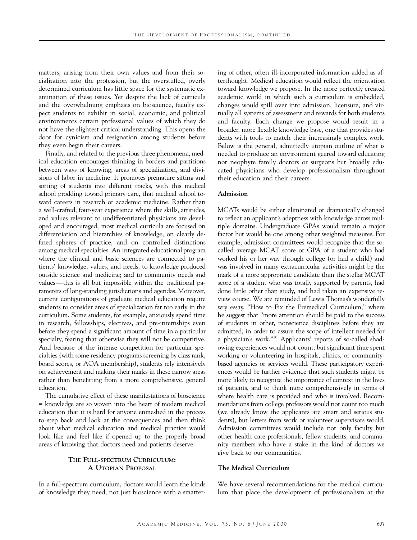matters, arising from their own values and from their socialization into the profession, but the overstuffed, overly determined curriculum has little space for the systematic examination of these issues. Yet despite the lack of curricula and the overwhelming emphasis on bioscience, faculty expect students to exhibit in social, economic, and political environments certain professional values of which they do not have the slightest critical understanding. This opens the door for cynicism and resignation among students before they even begin their careers.

Finally, and related to the previous three phenomena, medical education encourages thinking in borders and partitions between ways of knowing, areas of specialization, and divisions of labor in medicine. It promotes premature sifting and sorting of students into different tracks, with this medical school prodding toward primary care, that medical school toward careers in research or academic medicine. Rather than a well-crafted, four-year experience where the skills, attitudes, and values relevant to undifferentiated physicians are developed and encouraged, most medical curricula are focused on differentiation and hierarchies of knowledge, on clearly defined spheres of practice, and on controlled distinctions among medical specialties. An integrated educational program where the clinical and basic sciences are connected to patients' knowledge, values, and needs; to knowledge produced outside science and medicine; and to community needs and values—this is all but impossible within the traditional parameters of long-standing jurisdictions and agendas. Moreover, current configurations of graduate medical education require students to consider areas of specialization far too early in the curriculum. Some students, for example, anxiously spend time in research, fellowships, electives, and pre-internships even before they spend a significant amount of time in a particular specialty, fearing that otherwise they will not be competitive. And because of the intense competition for particular specialties (with some residency programs screening by class rank, board scores, or AOA membership), students rely intensively on achievement and making their marks in these narrow areas rather than benefitting from a more comprehensive, general education.

The cumulative effect of these manifestations of bioscience = knowledge are so woven into the heart of modern medical education that it is hard for anyone enmeshed in the process to step back and look at the consequences and then think about what medical education and medical practice would look like and feel like if opened up to the properly broad areas of knowing that doctors need and patients deserve.

## **THE FULL-SPECTRUM CURRICULUM: A UTOPIAN PROPOSAL**

In a full-spectrum curriculum, doctors would learn the kinds of knowledge they need, not just bioscience with a smattering of other, often ill-incorporated information added as afterthought. Medical education would reflect the orientation toward knowledge we propose. In the more perfectly created academic world in which such a curriculum is embedded, changes would spill over into admission, licensure, and virtually all systems of assessment and rewards for both students and faculty. Each change we propose would result in a broader, more flexible knowledge base, one that provides students with tools to match their increasingly complex work. Below is the general, admittedly utopian outline of what is needed to produce an environment geared toward educating not neophyte family doctors or surgeons but broadly educated physicians who develop professionalism throughout their education and their careers.

#### **Admission**

MCATs would be either eliminated or dramatically changed to reflect an applicant's adeptness with knowledge across multiple domains. Undergraduate GPAs would remain a major factor but would be one among other weighted measures. For example, admission committees would recognize that the socalled average MCAT score or GPA of a student who had worked his or her way through college (or had a child) and was involved in many extracurricular activities might be the mark of a more appropriate candidate than the stellar MCAT score of a student who was totally supported by parents, had done little other than study, and had taken an expensive review course. We are reminded of Lewis Thomas's wonderfully wry essay, ''How to Fix the Premedical Curriculum,'' where he suggest that ''more attention should be paid to the success of students in other, nonscience disciplines before they are admitted, in order to assure the scope of intellect needed for a physician's work.''10 Applicants' reports of so-called shadowing experiences would not count, but significant time spent working or volunteering in hospitals, clinics, or communitybased agencies or services would. These participatory experiences would be further evidence that such students might be more likely to recognize the importance of context in the lives of patients, and to think more comprehensively in terms of where health care is provided and who is involved. Recommendations from college professors would not count too much (we already know the applicants are smart and serious students), but letters from work or volunteer supervisors would. Admission committees would include not only faculty but other health care professionals, fellow students, and community members who have a stake in the kind of doctors we give back to our communities.

#### **The Medical Curriculum**

We have several recommendations for the medical curriculum that place the development of professionalism at the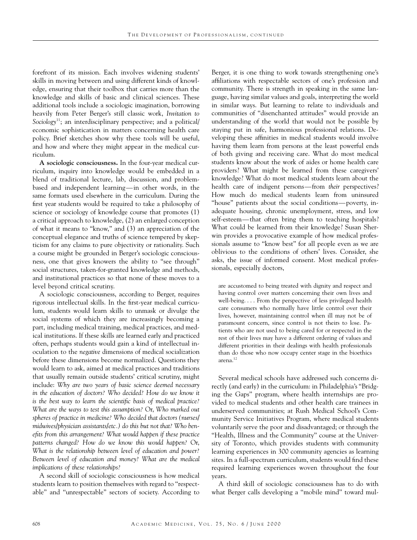forefront of its mission. Each involves widening students' skills in moving between and using different kinds of knowledge, ensuring that their toolbox that carries more than the knowledge and skills of basic and clinical sciences. These additional tools include a sociologic imagination, borrowing heavily from Peter Berger's still classic work, *Invitation to Sociology*11; an interdisciplinary perspective; and a political/ economic sophistication in matters concerning health care policy. Brief sketches show why these tools will be useful, and how and where they might appear in the medical curriculum.

**A sociologic consciousness.** In the four-year medical curriculum, inquiry into knowledge would be embedded in a blend of traditional lecture, lab, discussion, and problembased and independent learning—in other words, in the same formats used elsewhere in the curriculum. During the first year students would be required to take a philosophy of science or sociology of knowledge course that promotes (1) a critical approach to knowledge, (2) an enlarged conception of what it means to ''know,'' and (3) an appreciation of the conceptual elegance and truths of science tempered by skepticism for any claims to pure objectivity or rationality. Such a course might be grounded in Berger's sociologic consciousness, one that gives knowers the ability to ''see through'' social structures, taken-for-granted knowledge and methods, and institutional practices so that none of these moves to a level beyond critical scrutiny.

A sociologic consciousness, according to Berger, requires rigorous intellectual skills. In the first-year medical curriculum, students would learn skills to unmask or divulge the social systems of which they are increasingly becoming a part, including medical training, medical practices, and medical institutions. If these skills are learned early and practiced often, perhaps students would gain a kind of intellectual inoculation to the *negative* dimensions of medical socialization before these dimensions become normalized. Questions they would learn to ask, aimed at medical practices and traditions that usually remain outside students' critical scrutiny, might include: *Why are two years of basic science deemed necessary in the education of doctors? Who decided? How do we know it is the best way to learn the scientific basis of medical practice? What are the ways to test this assumption?* Or, *Who marked out spheres of practice in medicine? Who decided that doctors (nurses/ midwives/physician assistants/etc.) do this but not that? Who benefits from this arrangement? What would happen if these practice patterns changed? How do we know this would happen?* Or, *What is the relationship between level of education and power? Between level of education and money? What are the medical implications of these relationships?*

A second skill of sociologic consciousness is how medical students learn to position themselves with regard to ''respectable'' and ''unrespectable'' sectors of society. According to Berger, it is one thing to work towards strengthening one's affiliations with respectable sectors of one's profession and community. There is strength in speaking in the same language, having similar values and goals, interpreting the world in similar ways. But learning to relate to individuals and communities of ''disenchanted attitudes'' would provide an understanding of the world that would not be possible by staying put in safe, harmonious professional relations. Developing these affinities in medical students would involve having them learn from persons at the least powerful ends of both giving and receiving care. What do most medical students know about the work of aides or home health care providers? What might be learned from these caregivers' knowledge? What do most medical students learn about the health care of indigent persons—from *their* perspectives? How much do medical students learn from uninsured ''house'' patients about the social conditions—poverty, inadequate housing, chronic unemployment, stress, and low self-esteem—that often bring them to teaching hospitals? What could be learned from their knowledge? Susan Sherwin provides a provocative example of how medical professionals assume to "know best" for all people even as we are oblivious to the conditions of others' lives. Consider, she asks, the issue of informed consent. Most medical professionals, especially doctors,

are accustomed to being treated with dignity and respect and having control over matters concerning their own lives and well-being.... From the perspective of less privileged health care consumers who normally have little control over their lives, however, maintaining control when ill may not be of paramount concern, since control is not theirs to lose. Patients who are not used to being cared for or respected in the rest of their lives may have a different ordering of values and different priorities in their dealings with health professionals than do those who now occupy center stage in the bioethics arena.<sup>12</sup>

Several medical schools have addressed such concerns directly (and early) in the curriculum: in Philadelphia's ''Bridging the Gaps'' program, where health internships are provided to medical students and other health care trainees in underserved communities; at Rush Medical School's Community Service Initiatives Program, where medical students voluntarily serve the poor and disadvantaged; or through the "Health, Illness and the Community" course at the University of Toronto, which provides students with community learning experiences in 300 community agencies as learning sites. In a full-spectrum curriculum, students would find these required learning experiences woven throughout the four years.

A third skill of sociologic consciousness has to do with what Berger calls developing a "mobile mind" toward mul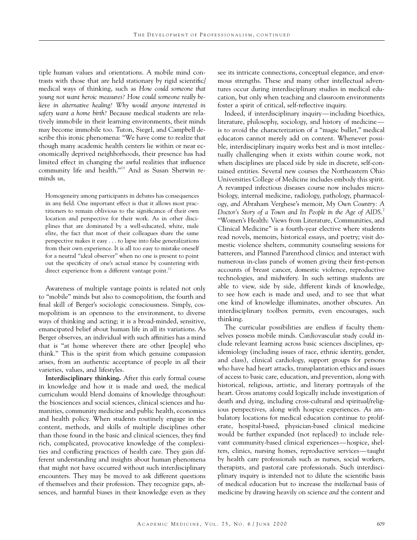tiple human values and orientations. A mobile mind contrasts with those that are held stationary by rigid scientific/ medical ways of thinking, such as *How could someone that young not want heroic measures? How could someone really believe in alternative healing? Why would anyone interested in safety want a home birth?* Because medical students are relatively immobile in their learning environments, their minds may become immobile too. Tuton, Siegel, and Campbell describe this ironic phenomena: ''We have come to realize that though many academic health centers lie within or near economically deprived neighborhoods, their presence has had limited effect in changing the awful realities that influence community life and health."<sup>13</sup> And as Susan Sherwin reminds us,

Homogeneity among participants in debates has consequences in any field. One important effect is that it allows most practitioners to remain oblivious to the significance of their own location and perspective for their work. As in other disciplines that are dominated by a well-educated, white, male elite, the fact that most of their colleagues share the same perspective makes it easy . . . to lapse into false generalizations from their own experience. It is all too easy to mistake oneself for a neutral ''ideal observer'' when no one is present to point out the specificity of one's actual stance by countering with direct experience from a different vantage point.<sup>12</sup>

Awareness of multiple vantage points is related not only to ''mobile'' minds but also to cosmopolitism, the fourth and final skill of Berger's sociologic consciousness. Simply, cosmopolitism is an openness to the environment, to diverse ways of thinking and acting; it is a broad-minded, sensitive, emancipated belief about human life in all its variations. As Berger observes, an individual with such affinities has a mind that is ''at home wherever there are other [people] who think.'' This is the spirit from which genuine compassion arises, from an authentic acceptance of people in *all* their varieties, values, and lifestyles.

**Interdisciplinary thinking.** After this early formal course in knowledge and how it is made and used, the medical curriculum would blend domains of knowledge throughout: the biosciences and social sciences, clinical sciences and humanities, community medicine and public health, economics and health policy. When students routinely engage in the content, methods, and skills of multiple disciplines other than those found in the basic and clinical sciences, they find rich, complicated, provocative knowledge of the complexities and conflicting practices of health care. They gain different understanding and insights about human phenomena that might not have occurred without such interdisciplinary encounters. They may be moved to ask different questions of themselves and their profession. They recognize gaps, absences, and harmful biases in their knowledge even as they see its intricate connections, conceptual elegance, and enormous strengths. These and many other intellectual adventures occur during interdisciplinary studies in medical education, but only when teaching and classroom environments foster a spirit of critical, self-reflective inquiry.

Indeed, if interdisciplinary inquiry—including bioethics, literature, philosophy, sociology, and history of medicine is to avoid the characterization of a ''magic bullet,'' medical educators cannot merely add on content. Whenever possible, interdisciplinary inquiry works best and is most intellectually challenging when it exists within course work, not when disciplines are placed side by side in discrete, self-contained entities. Several new courses the Northeastern Ohio Universities College of Medicine includes embody this spirit. A revamped infectious diseases course now includes microbiology, internal medicine, radiology, pathology, pharmacology, *and* Abraham Verghese's memoir, *My Own Country: A Doctor's Story of a Town and Its People in the Age of AIDS*. 7 ''Women's Health: Views from Literature, Communities, and Clinical Medicine'' is a fourth-year elective where students read novels, memoirs, historical essays, and poetry; visit domestic violence shelters, community counseling sessions for batterers, and Planned Parenthood clinics; and interact with numerous in-class panels of women giving their first-person accounts of breast cancer, domestic violence, reproductive technologies, and midwifery. In such settings students are able to view, side by side, different kinds of knowledge, to see how each is made and used, and to see that what one kind of knowledge illuminates, another obscures. An interdisciplinary toolbox permits, even encourages, such thinking.

The curricular possibilities are endless if faculty themselves possess mobile minds. Cardiovascular study could include relevant learning across basic sciences disciplines, epidemiology (including issues of race, ethnic identity, gender, and class), clinical cardiology, support groups for persons who have had heart attacks, transplantation ethics and issues of access to basic care, education, and prevention, along with historical, religious, artistic, and literary portrayals of the heart. Gross anatomy could logically include investigation of death and dying, including cross-cultural and spiritual/religious perspectives, along with hospice experiences. As ambulatory locations for medical education continue to proliferate, hospital-based, physician-based clinical medicine would be further expanded (not replaced) to include relevant community-based clinical experiences—hospice, shelters, clinics, nursing homes, reproductive services—taught by health care professionals such as nurses, social workers, therapists, and pastoral care professionals. Such interdisciplinary inquiry is intended not to dilute the scientific basis of medical education but to increase the *intellectual* basis of medicine by drawing heavily on science *and* the content and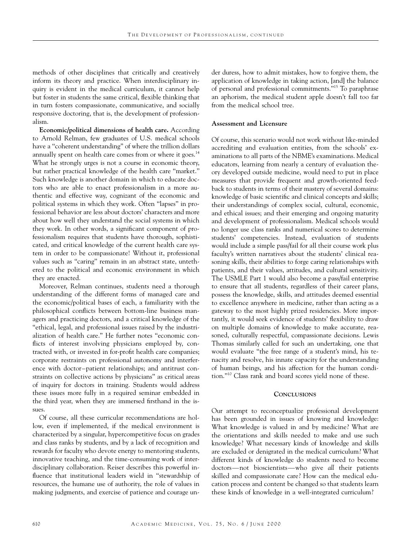methods of other disciplines that critically and creatively inform its theory and practice. When interdisciplinary inquiry is evident in the medical curriculum, it cannot help but foster in students the same critical, flexible thinking that in turn fosters compassionate, communicative, and socially responsive doctoring, that is, the development of professionalism.

**Economic/political dimensions of health care.** According to Arnold Relman, few graduates of U.S. medical schools have a ''coherent understanding'' of where the trillion dollars annually spent on health care comes from or where it goes.<sup>14</sup> What he strongly urges is not a course in economic theory, but rather practical knowledge of the health care ''market.'' Such knowledge is another domain in which to educate doctors who are able to enact professionalism in a more authentic and effective way, cognizant of the economic and political systems in which they work. Often ''lapses'' in professional behavior are less about doctors' characters and more about how well they understand the social systems in which they work. In other words, a significant component of professionalism requires that students have thorough, sophisticated, and critical knowledge of the current health care system in order to be compassionate! Without it, professional values such as ''caring'' remain in an abstract state, untethered to the political and economic environment in which they are enacted.

Moreover, Relman continues, students need a thorough understanding of the different forms of managed care and the economic/political bases of each, a familiarity with the philosophical conflicts between bottom-line business managers and practicing doctors, and a critical knowledge of the ''ethical, legal, and professional issues raised by the industrialization of health care.'' He further notes ''economic conflicts of interest involving physicians employed by, contracted with, or invested in for-profit health care companies; corporate restraints on professional autonomy and interference with doctor–patient relationships; and antitrust constraints on collective actions by physicians'' as critical areas of inquiry for doctors in training. Students would address these issues more fully in a required seminar embedded in the third year, when they are immersed firsthand in the issues.

Of course, all these curricular recommendations are hollow, even if implemented, if the medical environment is characterized by a singular, hypercompetitive focus on grades and class ranks by students, and by a lack of recognition and rewards for faculty who devote energy to mentoring students, innovative teaching, and the time-consuming work of interdisciplinary collaboration. Reiser describes this powerful influence that institutional leaders wield in ''stewardship of resources, the humane use of authority, the role of values in making judgments, and exercise of patience and courage under duress, how to admit mistakes, how to forgive them, the application of knowledge in taking action, [and] the balance of personal and professional commitments.''15 To paraphrase an aphorism, the medical student apple doesn't fall too far from the medical school tree.

# **Assessment and Licensure**

Of course, this scenario would not work without like-minded accrediting and evaluation entities, from the schools' examinations to all parts of the NBME's examinations. Medical educators, learning from nearly a century of evaluation theory developed outside medicine, would need to put in place measures that provide frequent and growth-oriented feedback to students in terms of their mastery of several domains: knowledge of basic scientific and clinical concepts and skills; their understandings of complex social, cultural, economic, and ethical issues; and their emerging and ongoing maturity and development of professionalism. Medical schools would no longer use class ranks and numerical scores to determine students' competencies. Instead, evaluation of students would include a simple pass/fail for all their course work plus faculty's written narratives about the students' clinical reasoning skills, their abilities to forge caring relationships with patients, and their values, attitudes, and cultural sensitivity. The USMLE Part 1 would also become a pass/fail enterprise to ensure that all students, regardless of their career plans, possess the knowledge, skills, and attitudes deemed essential to excellence anywhere in medicine, rather than acting as a gateway to the most highly prized residencies. More importantly, it would seek evidence of students' flexibility to draw on multiple domains of knowledge to make accurate, reasoned, culturally respectful, compassionate decisions. Lewis Thomas similarly called for such an undertaking, one that would evaluate ''the free range of a student's mind, his tenacity and resolve, his innate capacity for the understanding of human beings, and his affection for the human condition.''10 Class rank and board scores yield none of these.

#### **CONCLUSIONS**

Our attempt to reconceptualize professional development has been grounded in issues of knowing and knowledge: What knowledge is valued in and by medicine? What are the orientations and skills needed to make and use such knowledge? What necessary kinds of knowledge and skills are excluded or denigrated in the medical curriculum? What different kinds of knowledge do students need to become doctors—not bioscientists—who give *all* their patients skilled and compassionate care? How can the medical education process and content be changed so that students learn these kinds of knowledge in a well-integrated curriculum?